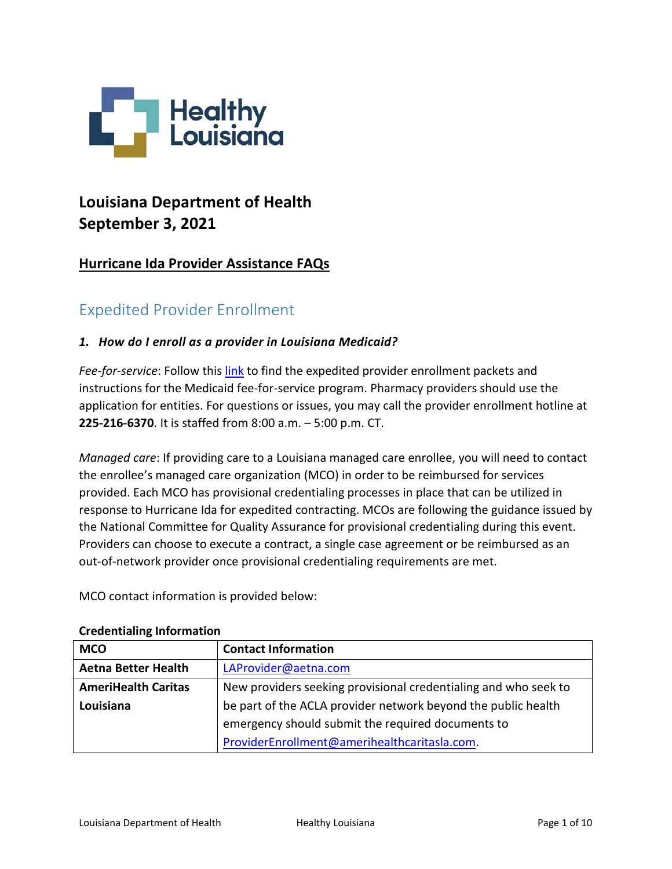

# **Louisiana Department of Health September 3, 2021**

# **Hurricane Ida Provider Assistance FAQs**

# Expedited Provider Enrollment

### *1. How do I enroll as a provider in Louisiana Medicaid?*

*Fee-for-service*: Follow this [link](https://www.lamedicaid.com/provweb1/Provider_Enrollment/ProviderEnrollmentIndex.htm) to find the expedited provider enrollment packets and instructions for the Medicaid fee-for-service program. Pharmacy providers should use the application for entities. For questions or issues, you may call the provider enrollment hotline at **225-216-6370**. It is staffed from 8:00 a.m. – 5:00 p.m. CT.

*Managed care*: If providing care to a Louisiana managed care enrollee, you will need to contact the enrollee's managed care organization (MCO) in order to be reimbursed for services provided. Each MCO has provisional credentialing processes in place that can be utilized in response to Hurricane Ida for expedited contracting. MCOs are following the guidance issued by the National Committee for Quality Assurance for provisional credentialing during this event. Providers can choose to execute a contract, a single case agreement or be reimbursed as an out-of-network provider once provisional credentialing requirements are met.

MCO contact information is provided below:

| <b>MCO</b>                 | <b>Contact Information</b>                                      |  |
|----------------------------|-----------------------------------------------------------------|--|
| <b>Aetna Better Health</b> | LAProvider@aetna.com                                            |  |
| <b>AmeriHealth Caritas</b> | New providers seeking provisional credentialing and who seek to |  |
| Louisiana                  | be part of the ACLA provider network beyond the public health   |  |
|                            | emergency should submit the required documents to               |  |
|                            | ProviderEnrollment@amerihealthcaritasla.com.                    |  |

#### **Credentialing Information**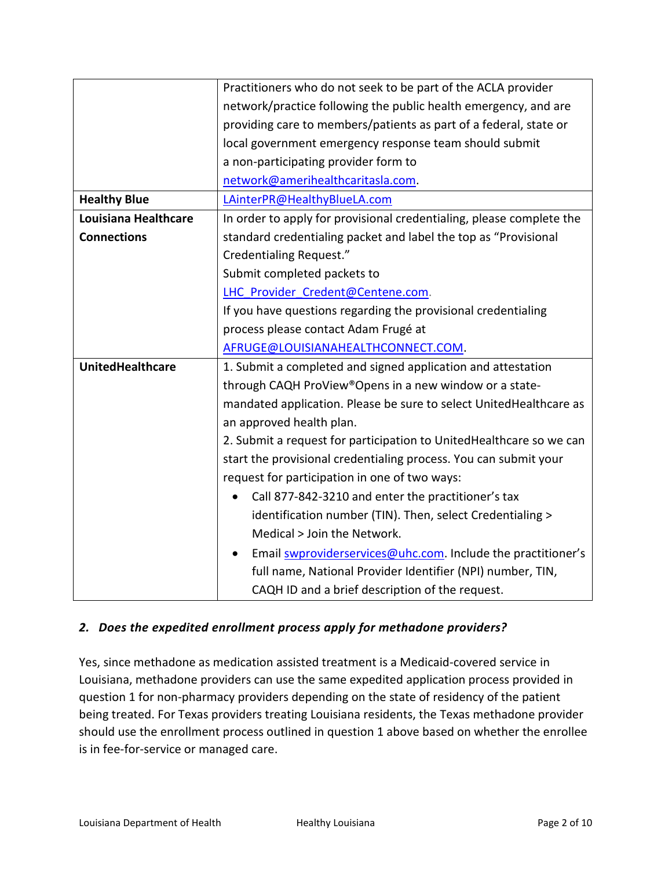|                         | Practitioners who do not seek to be part of the ACLA provider        |  |  |
|-------------------------|----------------------------------------------------------------------|--|--|
|                         | network/practice following the public health emergency, and are      |  |  |
|                         | providing care to members/patients as part of a federal, state or    |  |  |
|                         | local government emergency response team should submit               |  |  |
|                         | a non-participating provider form to                                 |  |  |
|                         | network@amerihealthcaritasla.com.                                    |  |  |
| <b>Healthy Blue</b>     | LAinterPR@HealthyBlueLA.com                                          |  |  |
| Louisiana Healthcare    | In order to apply for provisional credentialing, please complete the |  |  |
| <b>Connections</b>      | standard credentialing packet and label the top as "Provisional      |  |  |
|                         | <b>Credentialing Request."</b>                                       |  |  |
|                         | Submit completed packets to                                          |  |  |
|                         | LHC Provider Credent@Centene.com.                                    |  |  |
|                         | If you have questions regarding the provisional credentialing        |  |  |
|                         | process please contact Adam Frugé at                                 |  |  |
|                         | AFRUGE@LOUISIANAHEALTHCONNECT.COM.                                   |  |  |
| <b>UnitedHealthcare</b> | 1. Submit a completed and signed application and attestation         |  |  |
|                         | through CAQH ProView®Opens in a new window or a state-               |  |  |
|                         | mandated application. Please be sure to select UnitedHealthcare as   |  |  |
|                         | an approved health plan.                                             |  |  |
|                         | 2. Submit a request for participation to UnitedHealthcare so we can  |  |  |
|                         | start the provisional credentialing process. You can submit your     |  |  |
|                         | request for participation in one of two ways:                        |  |  |
|                         | Call 877-842-3210 and enter the practitioner's tax                   |  |  |
|                         | identification number (TIN). Then, select Credentialing >            |  |  |
|                         | Medical > Join the Network.                                          |  |  |
|                         | Email swproviderservices@uhc.com. Include the practitioner's         |  |  |
|                         | full name, National Provider Identifier (NPI) number, TIN,           |  |  |
|                         | CAQH ID and a brief description of the request.                      |  |  |

### *2. Does the expedited enrollment process apply for methadone providers?*

Yes, since methadone as medication assisted treatment is a Medicaid-covered service in Louisiana, methadone providers can use the same expedited application process provided in question 1 for non-pharmacy providers depending on the state of residency of the patient being treated. For Texas providers treating Louisiana residents, the Texas methadone provider should use the enrollment process outlined in question 1 above based on whether the enrollee is in fee-for-service or managed care.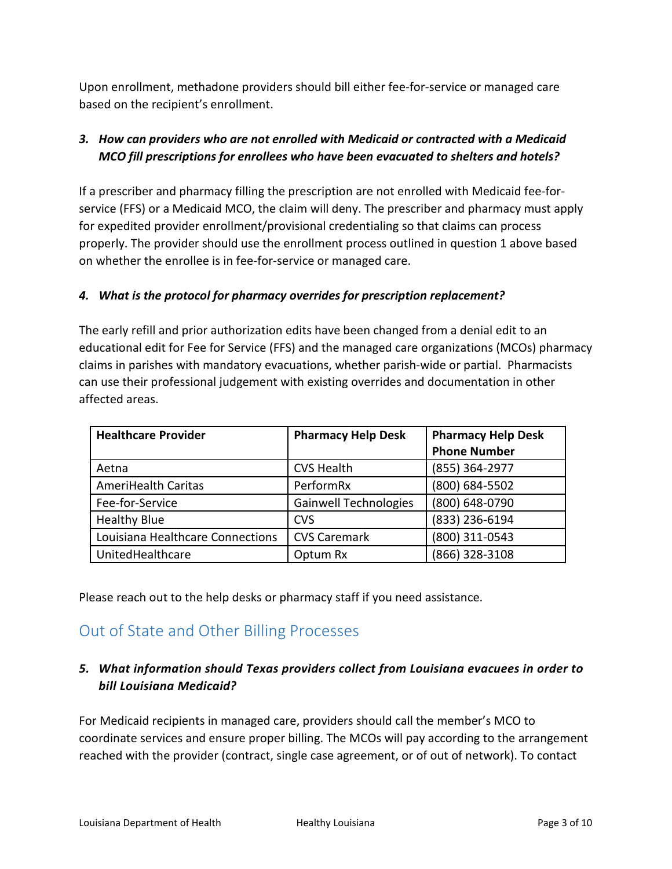Upon enrollment, methadone providers should bill either fee-for-service or managed care based on the recipient's enrollment.

## *3. How can providers who are not enrolled with Medicaid or contracted with a Medicaid MCO fill prescriptions for enrollees who have been evacuated to shelters and hotels?*

If a prescriber and pharmacy filling the prescription are not enrolled with Medicaid fee-forservice (FFS) or a Medicaid MCO, the claim will deny. The prescriber and pharmacy must apply for expedited provider enrollment/provisional credentialing so that claims can process properly. The provider should use the enrollment process outlined in question 1 above based on whether the enrollee is in fee-for-service or managed care.

### *4. What is the protocol for pharmacy overrides for prescription replacement?*

The early refill and prior authorization edits have been changed from a denial edit to an educational edit for Fee for Service (FFS) and the managed care organizations (MCOs) pharmacy claims in parishes with mandatory evacuations, whether parish-wide or partial. Pharmacists can use their professional judgement with existing overrides and documentation in other affected areas.

| <b>Healthcare Provider</b>       | <b>Pharmacy Help Desk</b>    | <b>Pharmacy Help Desk</b> |
|----------------------------------|------------------------------|---------------------------|
|                                  |                              | <b>Phone Number</b>       |
| Aetna                            | <b>CVS Health</b>            | (855) 364-2977            |
| <b>AmeriHealth Caritas</b>       | PerformRx                    | (800) 684-5502            |
| Fee-for-Service                  | <b>Gainwell Technologies</b> | (800) 648-0790            |
| <b>Healthy Blue</b>              | <b>CVS</b>                   | (833) 236-6194            |
| Louisiana Healthcare Connections | <b>CVS Caremark</b>          | (800) 311-0543            |
| UnitedHealthcare                 | Optum Rx                     | (866) 328-3108            |

Please reach out to the help desks or pharmacy staff if you need assistance.

# Out of State and Other Billing Processes

### *5. What information should Texas providers collect from Louisiana evacuees in order to bill Louisiana Medicaid?*

For Medicaid recipients in managed care, providers should call the member's MCO to coordinate services and ensure proper billing. The MCOs will pay according to the arrangement reached with the provider (contract, single case agreement, or of out of network). To contact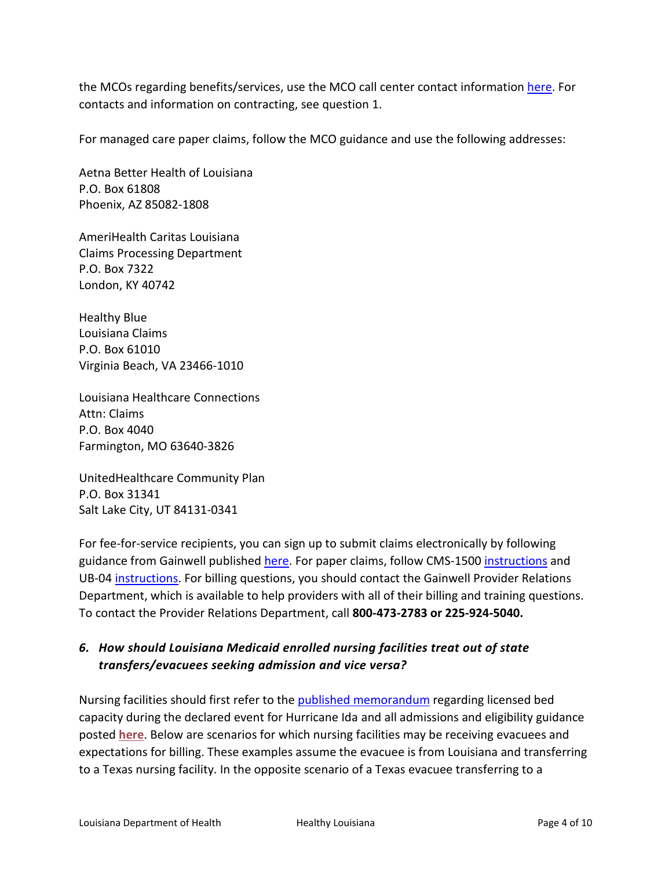the MCOs regarding benefits/services, use the MCO call center contact information [here.](https://ldh.la.gov/index.cfm/page/1065) For contacts and information on contracting, see question 1.

For managed care paper claims, follow the MCO guidance and use the following addresses:

Aetna Better Health of Louisiana P.O. Box 61808 Phoenix, AZ 85082-1808

AmeriHealth Caritas Louisiana Claims Processing Department P.O. Box 7322 London, KY 40742

Healthy Blue Louisiana Claims P.O. Box 61010 Virginia Beach, VA 23466-1010

Louisiana Healthcare Connections Attn: Claims P.O. Box 4040 Farmington, MO 63640-3826

UnitedHealthcare Community Plan P.O. Box 31341 Salt Lake City, UT 84131-0341

For fee-for-service recipients, you can sign up to submit claims electronically by following guidance from Gainwell published [here.](https://www.lamedicaid.com/Provweb1/billing_information/EMC.htm) For paper claims, follow CMS-1500 [instructions](https://www.lamedicaid.com/Provweb1/billing_information/CMS_1500.htm) and UB-04 [instructions.](https://www.lamedicaid.com/Provweb1/billing_information/ub04instructions.htm) For billing questions, you should contact the Gainwell Provider Relations Department, which is available to help providers with all of their billing and training questions. To contact the Provider Relations Department, call **800-473-2783 or 225-924-5040.**

### *6. How should Louisiana Medicaid enrolled nursing facilities treat out of state transfers/evacuees seeking admission and vice versa?*

Nursing facilities should first refer to the **published memorandum** regarding licensed bed capacity during the declared event for Hurricane Ida and all admissions and eligibility guidance posted **[here](https://ldh.la.gov/assets/docs/BayouHealth/Informational_Bulletins/2021/21-17/NFadmissionsprocesses8.28.21.pdf)**. Below are scenarios for which nursing facilities may be receiving evacuees and expectations for billing. These examples assume the evacuee is from Louisiana and transferring to a Texas nursing facility. In the opposite scenario of a Texas evacuee transferring to a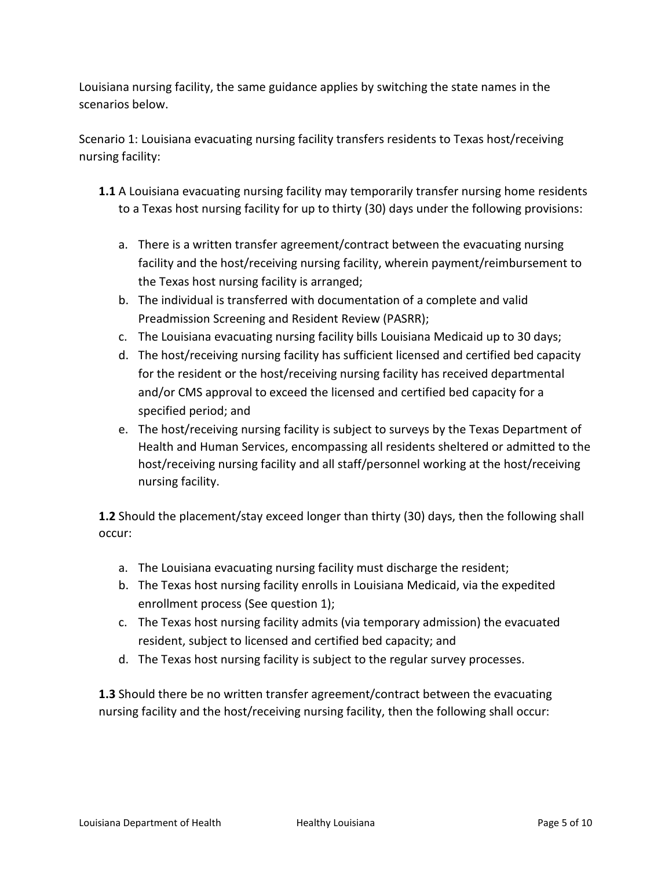Louisiana nursing facility, the same guidance applies by switching the state names in the scenarios below.

Scenario 1: Louisiana evacuating nursing facility transfers residents to Texas host/receiving nursing facility:

- **1.1** A Louisiana evacuating nursing facility may temporarily transfer nursing home residents to a Texas host nursing facility for up to thirty (30) days under the following provisions:
	- a. There is a written transfer agreement/contract between the evacuating nursing facility and the host/receiving nursing facility, wherein payment/reimbursement to the Texas host nursing facility is arranged;
	- b. The individual is transferred with documentation of a complete and valid Preadmission Screening and Resident Review (PASRR);
	- c. The Louisiana evacuating nursing facility bills Louisiana Medicaid up to 30 days;
	- d. The host/receiving nursing facility has sufficient licensed and certified bed capacity for the resident or the host/receiving nursing facility has received departmental and/or CMS approval to exceed the licensed and certified bed capacity for a specified period; and
	- e. The host/receiving nursing facility is subject to surveys by the Texas Department of Health and Human Services, encompassing all residents sheltered or admitted to the host/receiving nursing facility and all staff/personnel working at the host/receiving nursing facility.

**1.2** Should the placement/stay exceed longer than thirty (30) days, then the following shall occur:

- a. The Louisiana evacuating nursing facility must discharge the resident;
- b. The Texas host nursing facility enrolls in Louisiana Medicaid, via the expedited enrollment process (See question 1);
- c. The Texas host nursing facility admits (via temporary admission) the evacuated resident, subject to licensed and certified bed capacity; and
- d. The Texas host nursing facility is subject to the regular survey processes.

**1.3** Should there be no written transfer agreement/contract between the evacuating nursing facility and the host/receiving nursing facility, then the following shall occur: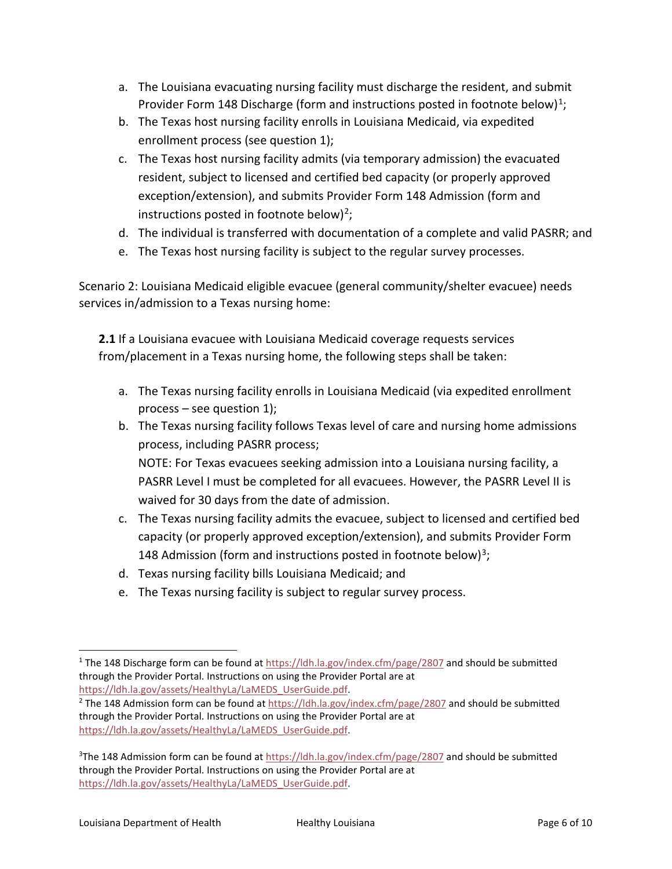- a. The Louisiana evacuating nursing facility must discharge the resident, and submit Provider Form [1](#page-5-0)48 Discharge (form and instructions posted in footnote below)<sup>1</sup>;
- b. The Texas host nursing facility enrolls in Louisiana Medicaid, via expedited enrollment process (see question 1);
- c. The Texas host nursing facility admits (via temporary admission) the evacuated resident, subject to licensed and certified bed capacity (or properly approved exception/extension), and submits Provider Form 148 Admission (form and instructions posted in footnote below)<sup>[2](#page-5-1)</sup>;
- d. The individual is transferred with documentation of a complete and valid PASRR; and
- e. The Texas host nursing facility is subject to the regular survey processes.

Scenario 2: Louisiana Medicaid eligible evacuee (general community/shelter evacuee) needs services in/admission to a Texas nursing home:

**2.1** If a Louisiana evacuee with Louisiana Medicaid coverage requests services from/placement in a Texas nursing home, the following steps shall be taken:

- a. The Texas nursing facility enrolls in Louisiana Medicaid (via expedited enrollment process  $-$  see question 1);
- b. The Texas nursing facility follows Texas level of care and nursing home admissions process, including PASRR process; NOTE: For Texas evacuees seeking admission into a Louisiana nursing facility, a PASRR Level I must be completed for all evacuees. However, the PASRR Level II is waived for 30 days from the date of admission.
- c. The Texas nursing facility admits the evacuee, subject to licensed and certified bed capacity (or properly approved exception/extension), and submits Provider Form 148 Admission (form and instructions posted in footnote below)<sup>[3](#page-5-2)</sup>;
- d. Texas nursing facility bills Louisiana Medicaid; and
- e. The Texas nursing facility is subject to regular survey process.

<span id="page-5-0"></span> <sup>1</sup> The 148 Discharge form can be found at<https://ldh.la.gov/index.cfm/page/2807> and should be submitted through the Provider Portal. Instructions on using the Provider Portal are at [https://ldh.la.gov/assets/HealthyLa/LaMEDS\\_UserGuide.pdf.](https://ldh.la.gov/assets/HealthyLa/LaMEDS_UserGuide.pdf)

<span id="page-5-1"></span><sup>&</sup>lt;sup>2</sup> The 148 Admission form can be found a[t https://ldh.la.gov/index.cfm/page/2807](https://ldh.la.gov/index.cfm/page/2807) and should be submitted through the Provider Portal. Instructions on using the Provider Portal are at [https://ldh.la.gov/assets/HealthyLa/LaMEDS\\_UserGuide.pdf.](https://ldh.la.gov/assets/HealthyLa/LaMEDS_UserGuide.pdf)

<span id="page-5-2"></span><sup>&</sup>lt;sup>3</sup>The 148 Admission form can be found at<https://ldh.la.gov/index.cfm/page/2807> and should be submitted through the Provider Portal. Instructions on using the Provider Portal are at [https://ldh.la.gov/assets/HealthyLa/LaMEDS\\_UserGuide.pdf.](https://ldh.la.gov/assets/HealthyLa/LaMEDS_UserGuide.pdf)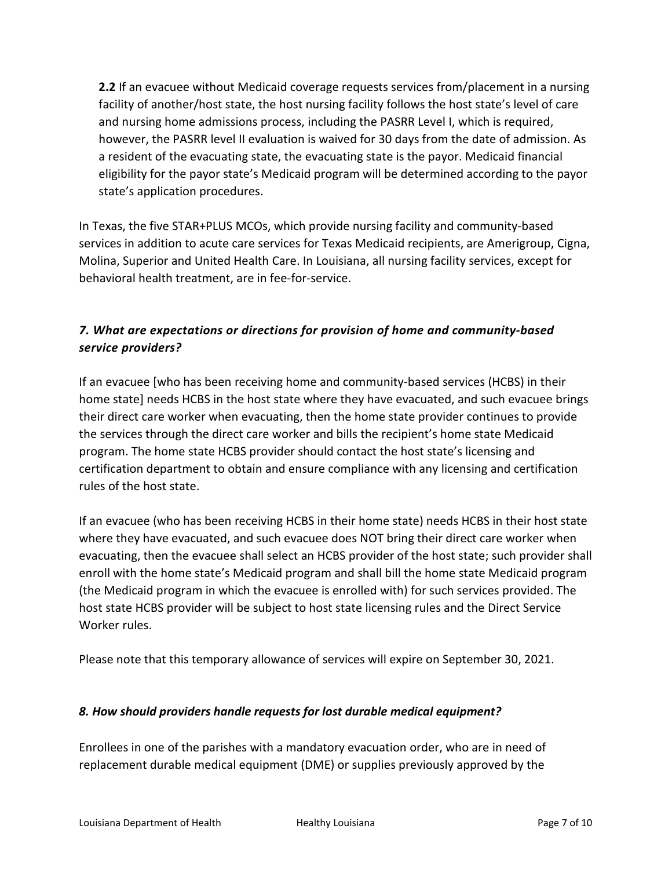**2.2** If an evacuee without Medicaid coverage requests services from/placement in a nursing facility of another/host state, the host nursing facility follows the host state's level of care and nursing home admissions process, including the PASRR Level I, which is required, however, the PASRR level II evaluation is waived for 30 days from the date of admission. As a resident of the evacuating state, the evacuating state is the payor. Medicaid financial eligibility for the payor state's Medicaid program will be determined according to the payor state's application procedures.

In Texas, the five STAR+PLUS MCOs, which provide nursing facility and community-based services in addition to acute care services for Texas Medicaid recipients, are Amerigroup, Cigna, Molina, Superior and United Health Care. In Louisiana, all nursing facility services, except for behavioral health treatment, are in fee-for-service.

## *7. What are expectations or directions for provision of home and community-based service providers?*

If an evacuee [who has been receiving home and community-based services (HCBS) in their home state] needs HCBS in the host state where they have evacuated, and such evacuee brings their direct care worker when evacuating, then the home state provider continues to provide the services through the direct care worker and bills the recipient's home state Medicaid program. The home state HCBS provider should contact the host state's licensing and certification department to obtain and ensure compliance with any licensing and certification rules of the host state.

If an evacuee (who has been receiving HCBS in their home state) needs HCBS in their host state where they have evacuated, and such evacuee does NOT bring their direct care worker when evacuating, then the evacuee shall select an HCBS provider of the host state; such provider shall enroll with the home state's Medicaid program and shall bill the home state Medicaid program (the Medicaid program in which the evacuee is enrolled with) for such services provided. The host state HCBS provider will be subject to host state licensing rules and the Direct Service Worker rules.

Please note that this temporary allowance of services will expire on September 30, 2021.

### *8. How should providers handle requests for lost durable medical equipment?*

Enrollees in one of the parishes with a mandatory evacuation order, who are in need of replacement durable medical equipment (DME) or supplies previously approved by the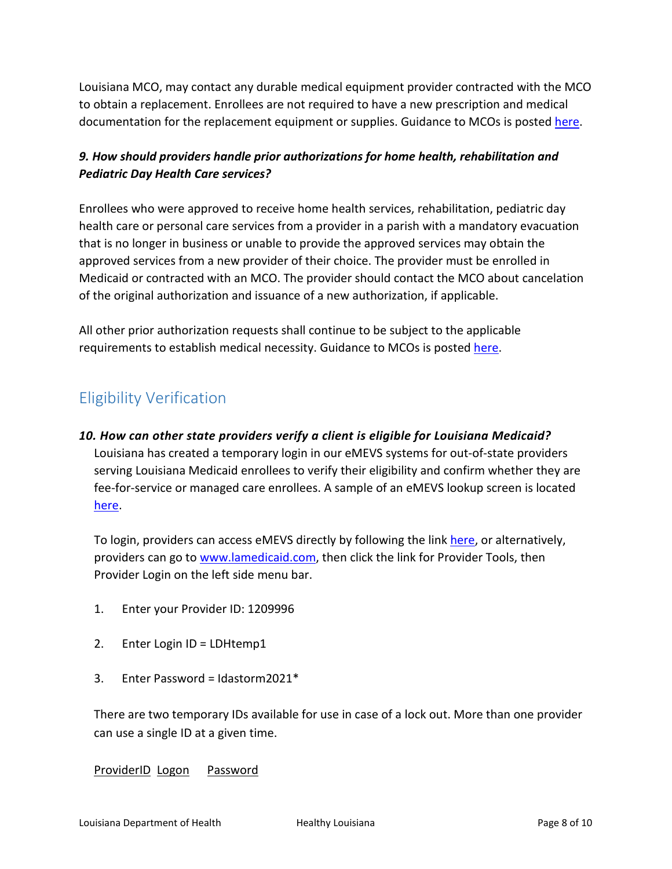Louisiana MCO, may contact any durable medical equipment provider contracted with the MCO to obtain a replacement. Enrollees are not required to have a new prescription and medical documentation for the replacement equipment or supplies. Guidance to MCOs is posted [here.](https://ldh.la.gov/assets/docs/BayouHealth/Informational_Bulletins/2021/21-17/IB21-17_revised_8.27.21.pdf)

## *9. How should providers handle prior authorizations for home health, rehabilitation and Pediatric Day Health Care services?*

Enrollees who were approved to receive home health services, rehabilitation, pediatric day health care or personal care services from a provider in a parish with a mandatory evacuation that is no longer in business or unable to provide the approved services may obtain the approved services from a new provider of their choice. The provider must be enrolled in Medicaid or contracted with an MCO. The provider should contact the MCO about cancelation of the original authorization and issuance of a new authorization, if applicable.

All other prior authorization requests shall continue to be subject to the applicable requirements to establish medical necessity. Guidance to MCOs is posted [here.](https://ldh.la.gov/assets/docs/BayouHealth/Informational_Bulletins/2021/21-17/IB21-17_revised_8.27.21.pdf)

# Eligibility Verification

# *10. How can other state providers verify a client is eligible for Louisiana Medicaid?*  Louisiana has created a temporary login in our eMEVS systems for out-of-state providers serving Louisiana Medicaid enrollees to verify their eligibility and confirm whether they are fee-for-service or managed care enrollees. A sample of an eMEVS lookup screen is located [here.](https://ldh.la.gov/assets/docs/BayouHealth/e-MEVS.pdf)

To login, providers can access eMEVS directly by following the link [here,](https://www.lamedicaid.com/account/login.aspx) or alternatively, providers can go to [www.lamedicaid.com,](http://www.lamedicaid.com/) then click the link for Provider Tools, then Provider Login on the left side menu bar.

- 1. Enter your Provider ID: 1209996
- 2. Enter Login ID = LDHtemp1
- 3. Enter Password = Idastorm $2021*$

There are two temporary IDs available for use in case of a lock out. More than one provider can use a single ID at a given time.

#### **ProviderID Logon** Password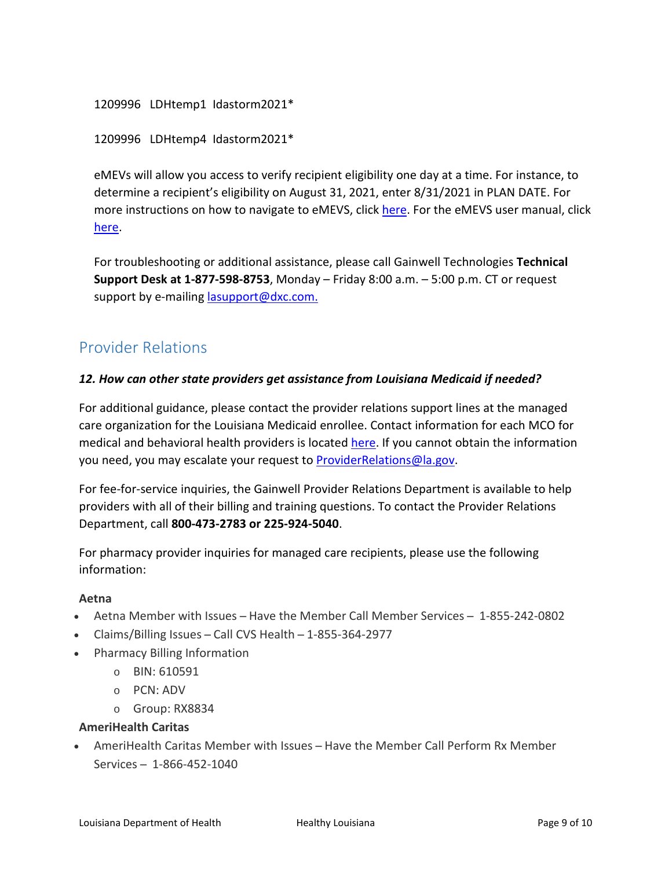```
1209996 LDHtemp1 Idastorm2021*
```
1209996 LDHtemp4 Idastorm2021\*

eMEVs will allow you access to verify recipient eligibility one day at a time. For instance, to determine a recipient's eligibility on August 31, 2021, enter 8/31/2021 in PLAN DATE. For more instructions on how to navigate to eMEVS, click [here.](https://ldh.la.gov/assets/docs/BayouHealth/Informational_Bulletins/2021/21-17/InstructionsAccessing.eMEVS.pdf) For the eMEVS user manual, click [here.](https://ldh.la.gov/assets/medicaid/laura/MEVSHelp.pdf)

For troubleshooting or additional assistance, please call Gainwell Technologies **Technical Support Desk at 1-877-598-8753**, Monday – Friday 8:00 a.m. – 5:00 p.m. CT or request support by e-mailing [lasupport@dxc.com.](mailto:lasupport@dxc.com)

# Provider Relations

### *12. How can other state providers get assistance from Louisiana Medicaid if needed?*

For additional guidance, please contact the provider relations support lines at the managed care organization for the Louisiana Medicaid enrollee. Contact information for each MCO for medical and behavioral health providers is located [here.](https://ldh.la.gov/index.cfm/page/1065) If you cannot obtain the information you need, you may escalate your request to [ProviderRelations@la.gov.](mailto:ProviderRelations@la.gov)

For fee-for-service inquiries, the Gainwell Provider Relations Department is available to help providers with all of their billing and training questions. To contact the Provider Relations Department, call **800-473-2783 or 225-924-5040**.

For pharmacy provider inquiries for managed care recipients, please use the following information:

## **Aetna**

- Aetna Member with Issues Have the Member Call Member Services 1-855-242-0802
- Claims/Billing Issues Call CVS Health  $-1-855-364-2977$
- Pharmacy Billing Information
	- o BIN: 610591
	- o PCN: ADV
	- o Group: RX8834

## **AmeriHealth Caritas**

• AmeriHealth Caritas Member with Issues – Have the Member Call Perform Rx Member Services ̶ 1-866-452-1040